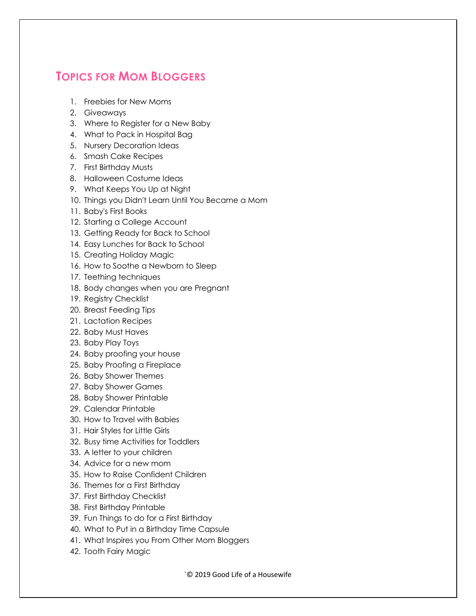## **TOPICS FOR MOM BLOGGERS**

- 1. Freebies for New Moms
- 2. Giveaways
- 3. Where to Register for a New Baby
- 4. What to Pack in Hospital Bag
- 5. Nursery Decoration Ideas
- 6. Smash Cake Recipes
- 7. First Birthday Musts
- 8. Halloween Costume Ideas
- 9. What Keeps You Up at Night
- 10. Things you Didn't Learn Until You Became a Mom
- 11. Baby's First Books
- 12. Starting a College Account
- 13. Getting Ready for Back to School
- 14. Easy Lunches for Back to School
- 15. Creating Holiday Magic
- 16. How to Soothe a Newborn to Sleep
- 17. Teething techniques
- 18. Body changes when you are Pregnant
- 19. Registry Checklist
- 20. Breast Feeding Tips
- 21. Lactation Recipes
- 22. Baby Must Haves
- 23. Baby Play Toys
- 24. Baby proofing your house
- 25. Baby Proofing a Fireplace
- 26. Baby Shower Themes
- 27. Baby Shower Games
- 28. Baby Shower Printable
- 29. Calendar Printable
- 30. How to Travel with Babies
- 31. Hair Styles for Little Girls
- 32. Busy time Activities for Toddlers
- 33. A letter to your children
- 34. Advice for a new mom
- 35. How to Raise Confident Children
- 36. Themes for a First Birthday
- 37. First Birthday Checklist
- 38. First Birthday Printable
- 39. Fun Things to do for a First Birthday
- 40. What to Put in a Birthday Time Capsule
- 41. What Inspires you From Other Mom Bloggers
- 42. Tooth Fairy Magic

`© 2019 Good Life of a Housewife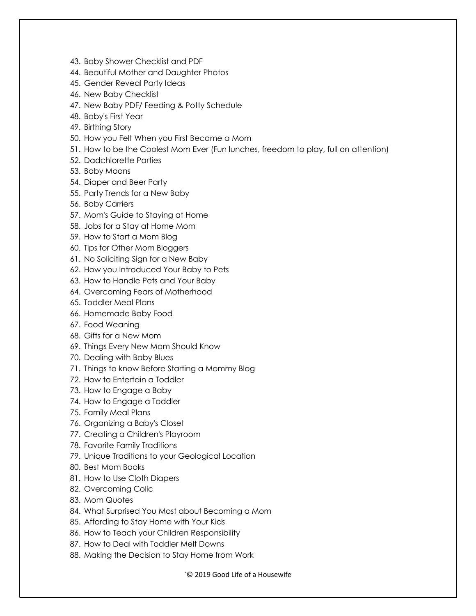- 43. Baby Shower Checklist and PDF
- 44. Beautiful Mother and Daughter Photos
- 45. Gender Reveal Party Ideas
- 46. New Baby Checklist
- 47. New Baby PDF/ Feeding & Potty Schedule
- 48. Baby's First Year
- 49. Birthing Story
- 50. How you Felt When you First Became a Mom
- 51. How to be the Coolest Mom Ever (Fun lunches, freedom to play, full on attention)
- 52. Dadchlorette Parties
- 53. Baby Moons
- 54. Diaper and Beer Party
- 55. Party Trends for a New Baby
- 56. Baby Carriers
- 57. Mom's Guide to Staying at Home
- 58. Jobs for a Stay at Home Mom
- 59. How to Start a Mom Blog
- 60. Tips for Other Mom Bloggers
- 61. No Soliciting Sign for a New Baby
- 62. How you Introduced Your Baby to Pets
- 63. How to Handle Pets and Your Baby
- 64. Overcoming Fears of Motherhood
- 65. Toddler Meal Plans
- 66. Homemade Baby Food
- 67. Food Weaning
- 68. Gifts for a New Mom
- 69. Things Every New Mom Should Know
- 70. Dealing with Baby Blues
- 71. Things to know Before Starting a Mommy Blog
- 72. How to Entertain a Toddler
- 73. How to Engage a Baby
- 74. How to Engage a Toddler
- 75. Family Meal Plans
- 76. Organizing a Baby's Closet
- 77. Creating a Children's Playroom
- 78. Favorite Family Traditions
- 79. Unique Traditions to your Geological Location
- 80. Best Mom Books
- 81. How to Use Cloth Diapers
- 82. Overcoming Colic
- 83. Mom Quotes
- 84. What Surprised You Most about Becoming a Mom
- 85. Affording to Stay Home with Your Kids
- 86. How to Teach your Children Responsibility
- 87. How to Deal with Toddler Melt Downs
- 88. Making the Decision to Stay Home from Work

`© 2019 Good Life of a Housewife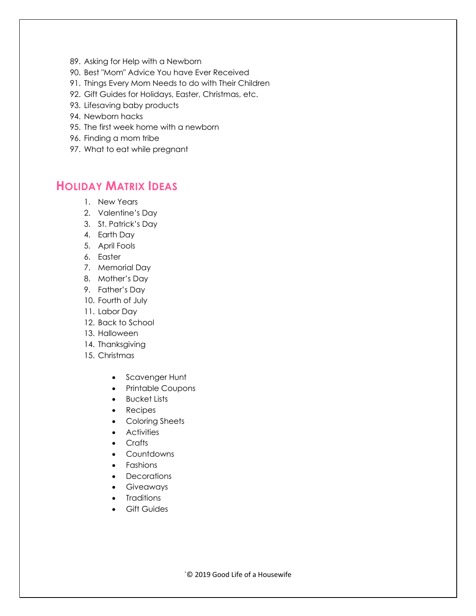- 89. Asking for Help with a Newborn
- 90. Best "Mom" Advice You have Ever Received
- 91. Things Every Mom Needs to do with Their Children
- 92. Gift Guides for Holidays, Easter, Christmas, etc.
- 93. Lifesaving baby products
- 94. Newborn hacks
- 95. The first week home with a newborn
- 96. Finding a mom tribe
- 97. What to eat while pregnant

## **HOLIDAY MATRIX IDEAS**

- 1. New Years
- 2. Valentine's Day
- 3. St. Patrick's Day
- 4. Earth Day
- 5. April Fools
- 6. Easter
- 7. Memorial Day
- 8. Mother's Day
- 9. Father's Day
- 10. Fourth of July
- 11. Labor Day
- 12. Back to School
- 13. Halloween
- 14. Thanksgiving
- 15. Christmas
	- Scavenger Hunt
	- Printable Coupons
	- Bucket Lists
	- Recipes
	- Coloring Sheets
	- Activities
	- Crafts
	- Countdowns
	- Fashions
	- Decorations
	- Giveaways
	- Traditions
	- Gift Guides